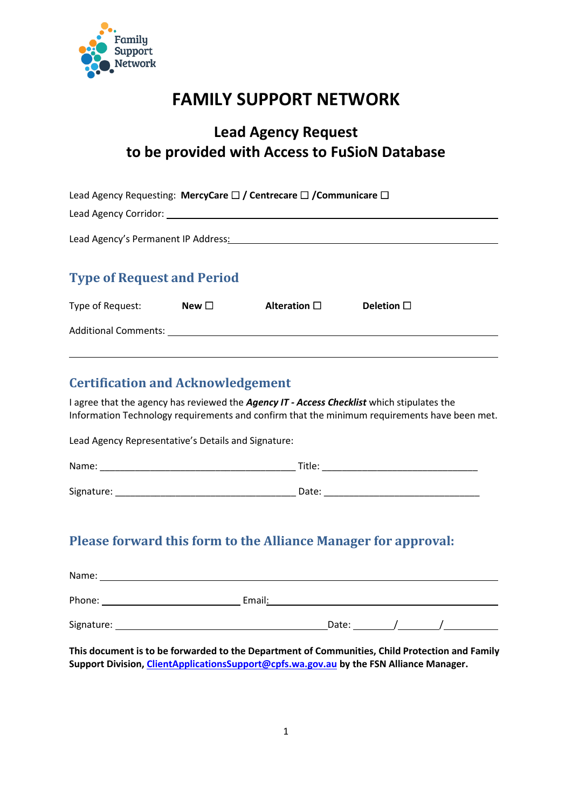

## **FAMILY SUPPORT NETWORK**

### **Lead Agency Request to be provided with Access to FuSioN Database**

|                                       |            | Lead Agency Requesting: MercyCare $\Box$ / Centrecare $\Box$ / Communicare $\Box$ |                 |  |
|---------------------------------------|------------|-----------------------------------------------------------------------------------|-----------------|--|
| Lead Agency Corridor: Value of Agency |            |                                                                                   |                 |  |
| Lead Agency's Permanent IP Address:   |            |                                                                                   |                 |  |
| <b>Type of Request and Period</b>     |            |                                                                                   |                 |  |
| Type of Request:                      | New $\Box$ | Alteration $\square$                                                              | Deletion $\Box$ |  |
| <b>Additional Comments:</b>           |            |                                                                                   |                 |  |

#### **Certification and Acknowledgement**

I agree that the agency has reviewed the *Agency IT - Access Checklist* which stipulates the Information Technology requirements and confirm that the minimum requirements have been met.

Lead Agency Representative's Details and Signature:

| Name:      | Title: |
|------------|--------|
|            |        |
| Signature: | Date:  |

#### **Please forward this form to the Alliance Manager for approval:**

| Name:      |        |       |  |  |
|------------|--------|-------|--|--|
| Phone:     | Email: |       |  |  |
| Signature: |        | Date: |  |  |

**This document is to be forwarded to the Department of Communities, Child Protection and Family Support Division, [ClientApplicationsSupport@cpfs.wa.gov.au](mailto:ClientApplicationsSupport@cpfs.wa.gov.au) by the FSN Alliance Manager.**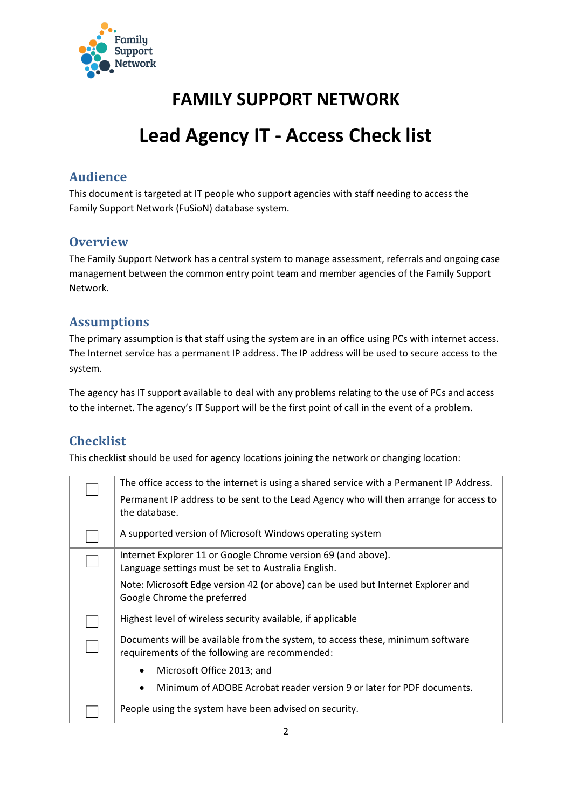

# **FAMILY SUPPORT NETWORK**

# **Lead Agency IT - Access Check list**

#### **Audience**

This document is targeted at IT people who support agencies with staff needing to access the Family Support Network (FuSioN) database system.

#### **Overview**

The Family Support Network has a central system to manage assessment, referrals and ongoing case management between the common entry point team and member agencies of the Family Support Network.

#### **Assumptions**

The primary assumption is that staff using the system are in an office using PCs with internet access. The Internet service has a permanent IP address. The IP address will be used to secure access to the system.

The agency has IT support available to deal with any problems relating to the use of PCs and access to the internet. The agency's IT Support will be the first point of call in the event of a problem.

#### **Checklist**

This checklist should be used for agency locations joining the network or changing location:

| The office access to the internet is using a shared service with a Permanent IP Address. |
|------------------------------------------------------------------------------------------|
|                                                                                          |
| Permanent IP address to be sent to the Lead Agency who will then arrange for access to   |
| the database.                                                                            |
|                                                                                          |
| A supported version of Microsoft Windows operating system                                |
| Internet Explorer 11 or Google Chrome version 69 (and above).                            |
| Language settings must be set to Australia English.                                      |
|                                                                                          |
| Note: Microsoft Edge version 42 (or above) can be used but Internet Explorer and         |
| Google Chrome the preferred                                                              |
| Highest level of wireless security available, if applicable                              |
|                                                                                          |
| Documents will be available from the system, to access these, minimum software           |
| requirements of the following are recommended:                                           |
|                                                                                          |
| Microsoft Office 2013; and<br>٠                                                          |
| Minimum of ADOBE Acrobat reader version 9 or later for PDF documents.<br>$\bullet$       |
|                                                                                          |
| People using the system have been advised on security.                                   |
|                                                                                          |